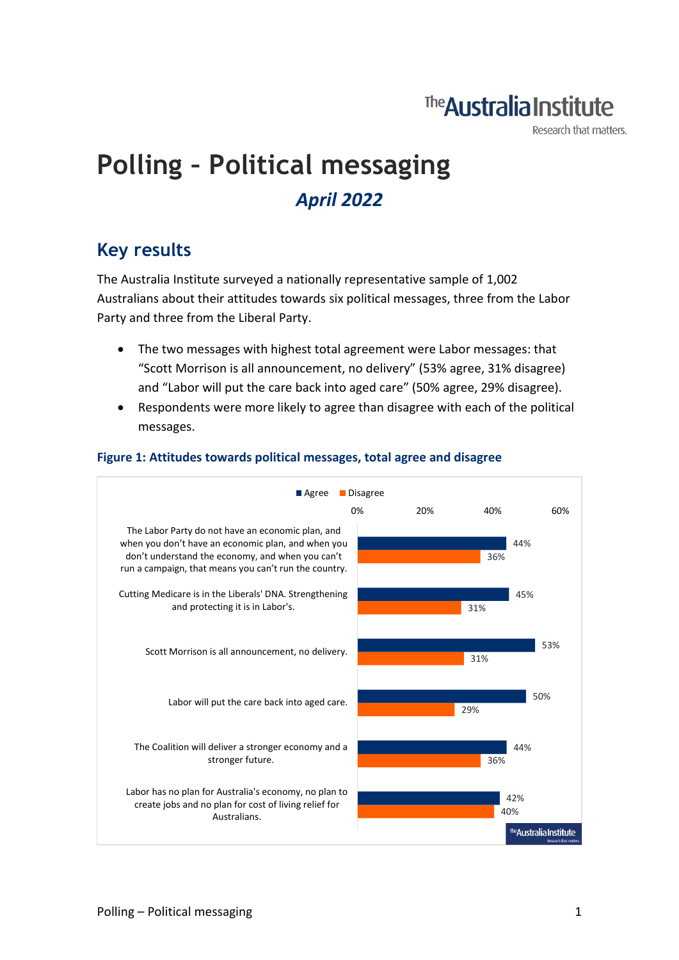# The Australia Institute

Research that matters.

# **Polling – Political messaging**  *April 2022*

# **Key results**

The Australia Institute surveyed a nationally representative sample of 1,002 Australians about their attitudes towards six political messages, three from the Labor Party and three from the Liberal Party.

- The two messages with highest total agreement were Labor messages: that "Scott Morrison is all announcement, no delivery" (53% agree, 31% disagree) and "Labor will put the care back into aged care" (50% agree, 29% disagree).
- Respondents were more likely to agree than disagree with each of the political messages.



## **Figure 1: Attitudes towards political messages, total agree and disagree**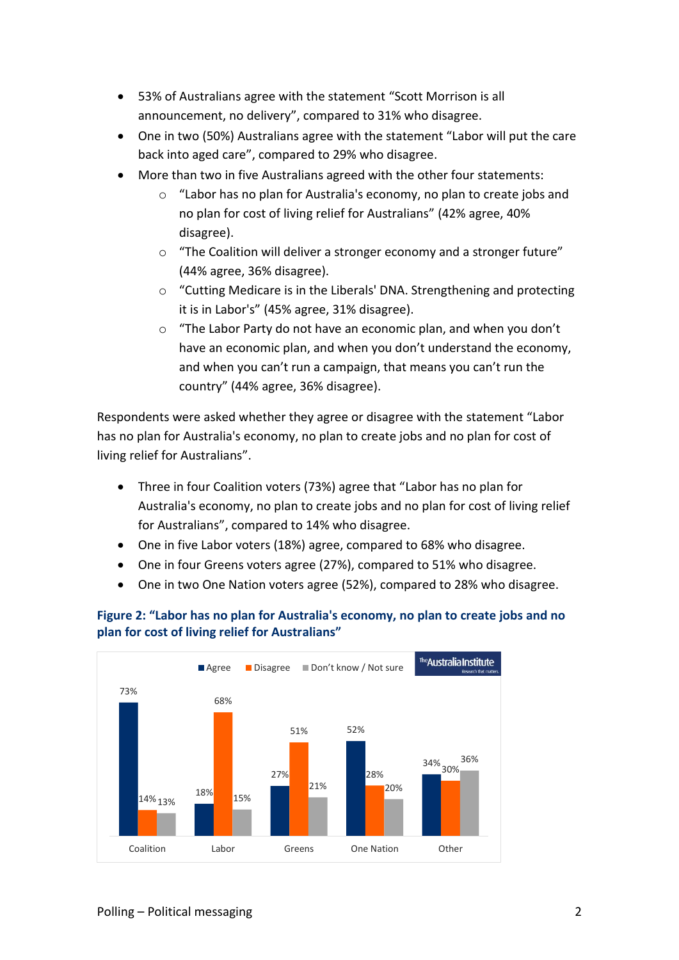- 53% of Australians agree with the statement "Scott Morrison is all announcement, no delivery", compared to 31% who disagree.
- One in two (50%) Australians agree with the statement "Labor will put the care back into aged care", compared to 29% who disagree.
- More than two in five Australians agreed with the other four statements:
	- $\circ$  "Labor has no plan for Australia's economy, no plan to create jobs and no plan for cost of living relief for Australians" (42% agree, 40% disagree).
	- o "The Coalition will deliver a stronger economy and a stronger future" (44% agree, 36% disagree).
	- o "Cutting Medicare is in the Liberals' DNA. Strengthening and protecting it is in Labor's" (45% agree, 31% disagree).
	- o "The Labor Party do not have an economic plan, and when you don't have an economic plan, and when you don't understand the economy, and when you can't run a campaign, that means you can't run the country" (44% agree, 36% disagree).

Respondents were asked whether they agree or disagree with the statement "Labor has no plan for Australia's economy, no plan to create jobs and no plan for cost of living relief for Australians".

- Three in four Coalition voters (73%) agree that "Labor has no plan for Australia's economy, no plan to create jobs and no plan for cost of living relief for Australians", compared to 14% who disagree.
- One in five Labor voters (18%) agree, compared to 68% who disagree.
- One in four Greens voters agree (27%), compared to 51% who disagree.
- One in two One Nation voters agree (52%), compared to 28% who disagree.



# **Figure 2: "Labor has no plan for Australia's economy, no plan to create jobs and no plan for cost of living relief for Australians"**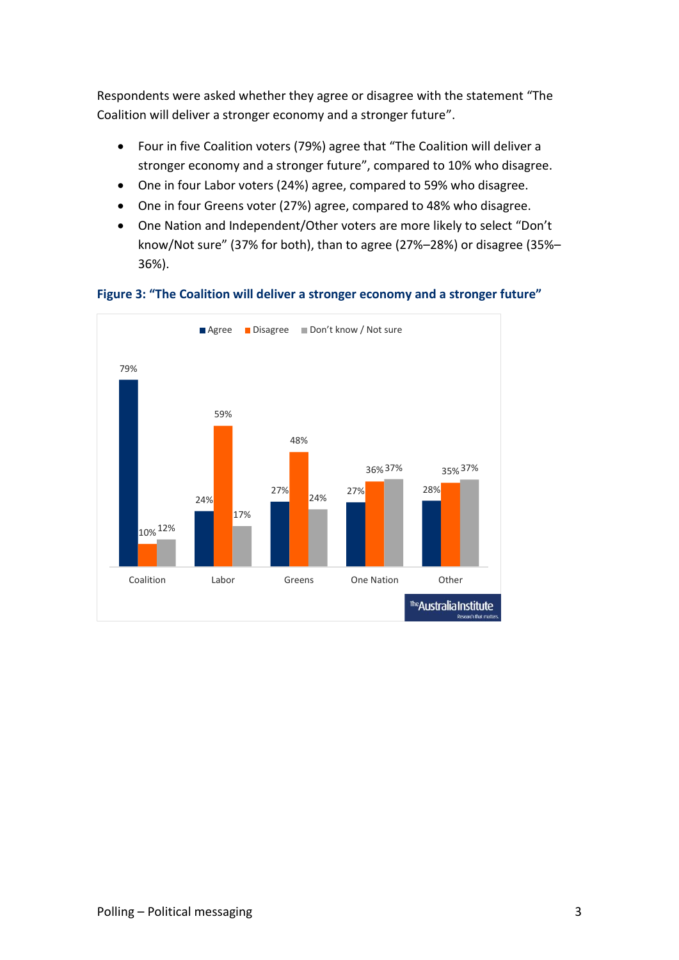Respondents were asked whether they agree or disagree with the statement "The Coalition will deliver a stronger economy and a stronger future".

- Four in five Coalition voters (79%) agree that "The Coalition will deliver a stronger economy and a stronger future", compared to 10% who disagree.
- One in four Labor voters (24%) agree, compared to 59% who disagree.
- One in four Greens voter (27%) agree, compared to 48% who disagree.
- One Nation and Independent/Other voters are more likely to select "Don't know/Not sure" (37% for both), than to agree (27%–28%) or disagree (35%– 36%).



### **Figure 3: "The Coalition will deliver a stronger economy and a stronger future"**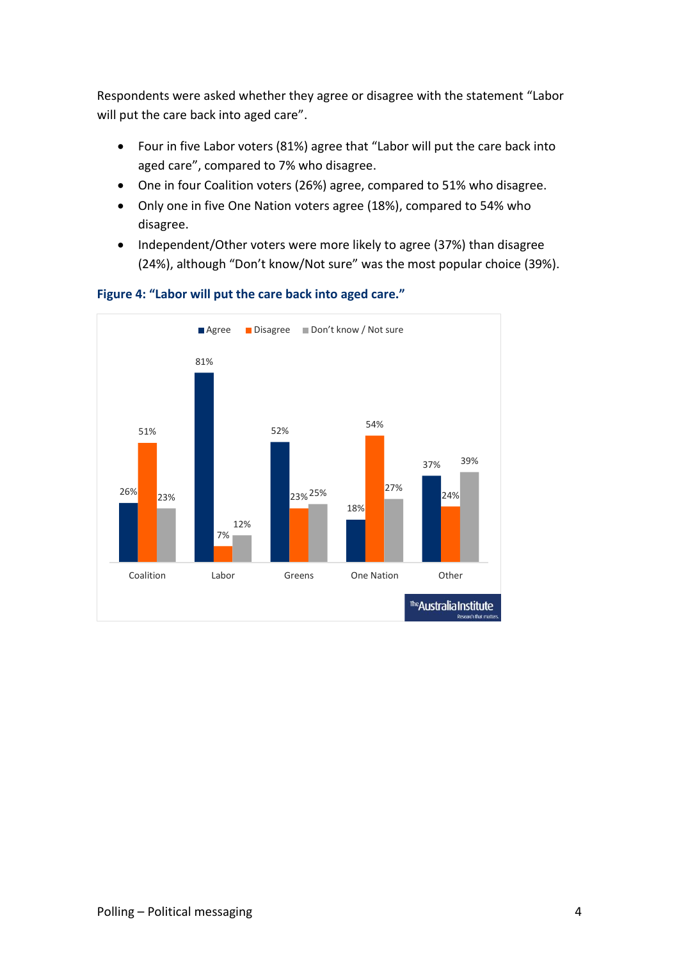Respondents were asked whether they agree or disagree with the statement "Labor will put the care back into aged care".

- Four in five Labor voters (81%) agree that "Labor will put the care back into aged care", compared to 7% who disagree.
- One in four Coalition voters (26%) agree, compared to 51% who disagree.
- Only one in five One Nation voters agree (18%), compared to 54% who disagree.
- Independent/Other voters were more likely to agree (37%) than disagree (24%), although "Don't know/Not sure" was the most popular choice (39%).



## **Figure 4: "Labor will put the care back into aged care."**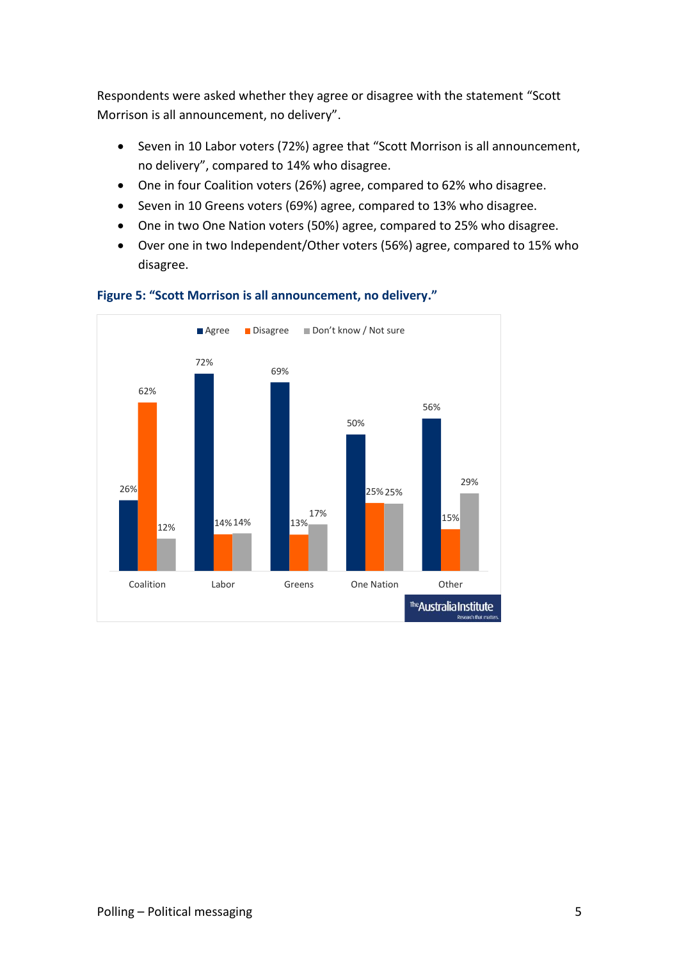Respondents were asked whether they agree or disagree with the statement "Scott Morrison is all announcement, no delivery".

- Seven in 10 Labor voters (72%) agree that "Scott Morrison is all announcement, no delivery", compared to 14% who disagree.
- One in four Coalition voters (26%) agree, compared to 62% who disagree.
- Seven in 10 Greens voters (69%) agree, compared to 13% who disagree.
- One in two One Nation voters (50%) agree, compared to 25% who disagree.
- Over one in two Independent/Other voters (56%) agree, compared to 15% who disagree.



#### **Figure 5: "Scott Morrison is all announcement, no delivery."**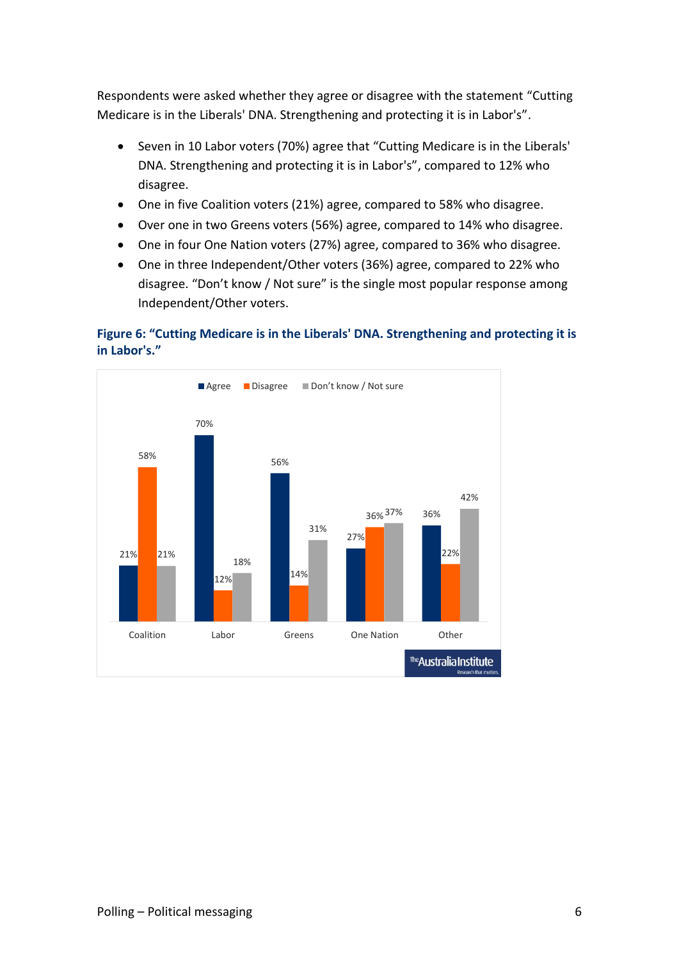Respondents were asked whether they agree or disagree with the statement "Cutting Medicare is in the Liberals' DNA. Strengthening and protecting it is in Labor's".

- Seven in 10 Labor voters (70%) agree that "Cutting Medicare is in the Liberals' DNA. Strengthening and protecting it is in Labor's", compared to 12% who disagree.
- One in five Coalition voters (21%) agree, compared to 58% who disagree.
- Over one in two Greens voters (56%) agree, compared to 14% who disagree.
- One in four One Nation voters (27%) agree, compared to 36% who disagree.
- One in three Independent/Other voters (36%) agree, compared to 22% who disagree. "Don't know / Not sure" is the single most popular response among Independent/Other voters.

## **Figure 6: "Cutting Medicare is in the Liberals' DNA. Strengthening and protecting it is in Labor's."**

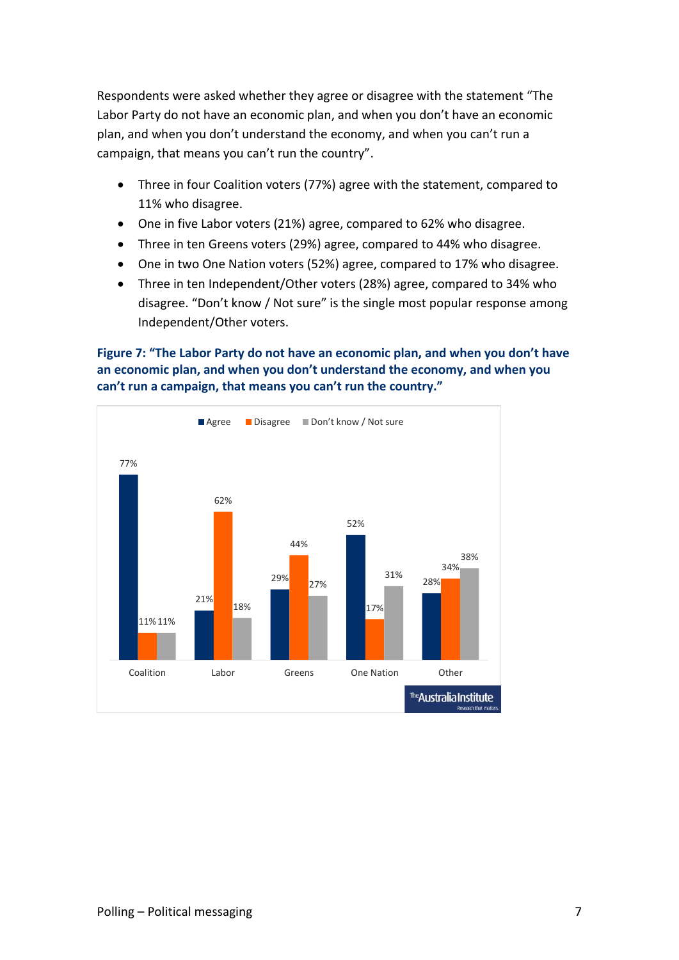Respondents were asked whether they agree or disagree with the statement "The Labor Party do not have an economic plan, and when you don't have an economic plan, and when you don't understand the economy, and when you can't run a campaign, that means you can't run the country".

- Three in four Coalition voters (77%) agree with the statement, compared to 11% who disagree.
- One in five Labor voters (21%) agree, compared to 62% who disagree.
- Three in ten Greens voters (29%) agree, compared to 44% who disagree.
- One in two One Nation voters (52%) agree, compared to 17% who disagree.
- Three in ten Independent/Other voters (28%) agree, compared to 34% who disagree. "Don't know / Not sure" is the single most popular response among Independent/Other voters.

**Figure 7: "The Labor Party do not have an economic plan, and when you don't have an economic plan, and when you don't understand the economy, and when you can't run a campaign, that means you can't run the country."**

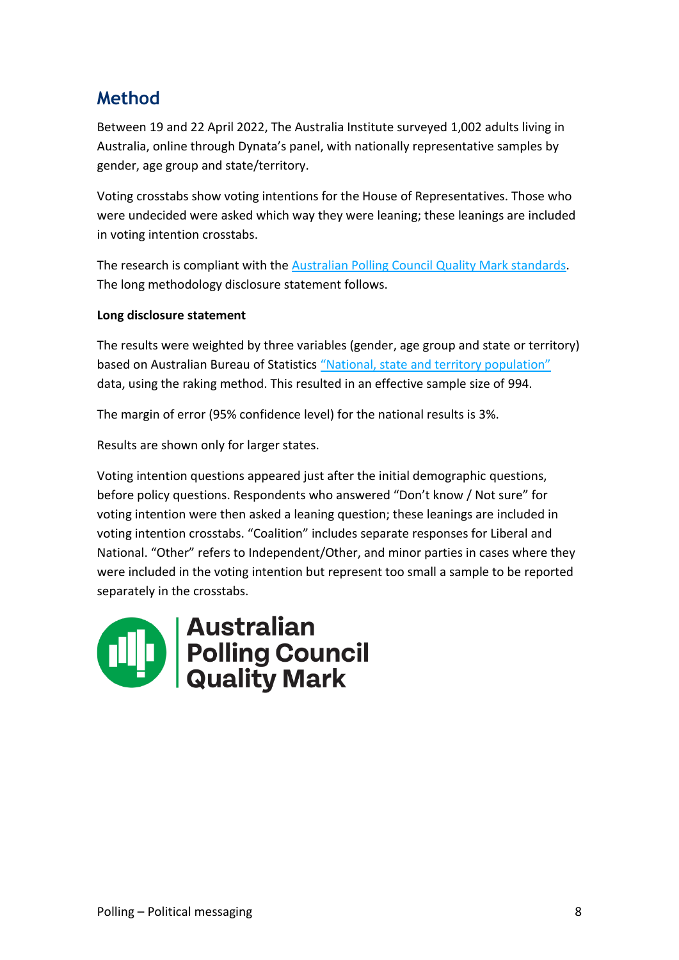# **Method**

Between 19 and 22 April 2022, The Australia Institute surveyed 1,002 adults living in Australia, online through Dynata's panel, with nationally representative samples by gender, age group and state/territory.

Voting crosstabs show voting intentions for the House of Representatives. Those who were undecided were asked which way they were leaning; these leanings are included in voting intention crosstabs.

The research is compliant with the Australian Polling [Council Quality Mark standards.](https://www.australianpollingcouncil.com/code-of-conduct) The long methodology disclosure statement follows.

# **Long disclosure statement**

The results were weighted by three variables (gender, age group and state or territory) based on Australian Bureau of Statistics ["National, state and territory population"](https://www.abs.gov.au/statistics/people/population/national-state-and-territory-population/latest-release) data, using the raking method. This resulted in an effective sample size of 994.

The margin of error (95% confidence level) for the national results is 3%.

Results are shown only for larger states.

Voting intention questions appeared just after the initial demographic questions, before policy questions. Respondents who answered "Don't know / Not sure" for voting intention were then asked a leaning question; these leanings are included in voting intention crosstabs. "Coalition" includes separate responses for Liberal and National. "Other" refers to Independent/Other, and minor parties in cases where they were included in the voting intention but represent too small a sample to be reported separately in the crosstabs.

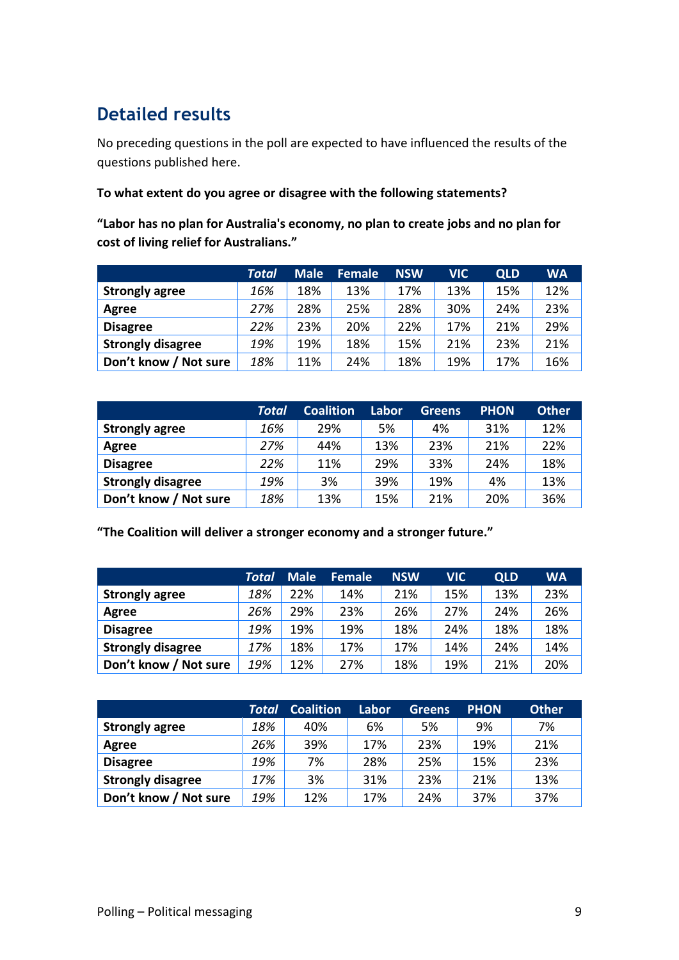# **Detailed results**

No preceding questions in the poll are expected to have influenced the results of the questions published here.

## **To what extent do you agree or disagree with the following statements?**

**"Labor has no plan for Australia's economy, no plan to create jobs and no plan for cost of living relief for Australians."**

|                          | Total | <b>Male</b> | <b>Female</b> | <b>NSW</b> | <b>VIC</b> | <b>QLD</b> | <b>WA</b> |
|--------------------------|-------|-------------|---------------|------------|------------|------------|-----------|
| <b>Strongly agree</b>    | 16%   | 18%         | 13%           | 17%        | 13%        | 15%        | 12%       |
| Agree                    | 27%   | 28%         | 25%           | 28%        | 30%        | 24%        | 23%       |
| <b>Disagree</b>          | 22%   | 23%         | 20%           | 22%        | 17%        | 21%        | 29%       |
| <b>Strongly disagree</b> | 19%   | 19%         | 18%           | 15%        | 21%        | 23%        | 21%       |
| Don't know / Not sure    | 18%   | 11%         | 24%           | 18%        | 19%        | 17%        | 16%       |

|                          | Total | <b>Coalition</b> | Labor | <b>Greens</b> | <b>PHON</b> | <b>Other</b> |
|--------------------------|-------|------------------|-------|---------------|-------------|--------------|
| <b>Strongly agree</b>    | 16%   | 29%              | 5%    | 4%            | 31%         | 12%          |
| Agree                    | 27%   | 44%              | 13%   | 23%           | 21%         | 22%          |
| <b>Disagree</b>          | 22%   | 11%              | 29%   | 33%           | 24%         | 18%          |
| <b>Strongly disagree</b> | 19%   | 3%               | 39%   | 19%           | 4%          | 13%          |
| Don't know / Not sure    | 18%   | 13%              | 15%   | 21%           | 20%         | 36%          |

**"The Coalition will deliver a stronger economy and a stronger future."**

|                          | Total | Male <sup>1</sup> | <b>Female</b> | <b>NSW</b> | <b>VIC</b> | <b>QLD</b> | <b>WA</b> |
|--------------------------|-------|-------------------|---------------|------------|------------|------------|-----------|
| <b>Strongly agree</b>    | 18%   | 22%               | 14%           | 21%        | 15%        | 13%        | 23%       |
| Agree                    | 26%   | 29%               | 23%           | 26%        | 27%        | 24%        | 26%       |
| <b>Disagree</b>          | 19%   | 19%               | 19%           | 18%        | 24%        | 18%        | 18%       |
| <b>Strongly disagree</b> | 17%   | 18%               | 17%           | 17%        | 14%        | 24%        | 14%       |
| Don't know / Not sure    | 19%   | 12%               | 27%           | 18%        | 19%        | 21%        | 20%       |

|                          | Total | <b>Coalition</b> | Labor | <b>Greens</b> | <b>PHON</b> | <b>Other</b> |
|--------------------------|-------|------------------|-------|---------------|-------------|--------------|
| <b>Strongly agree</b>    | 18%   | 40%              | 6%    | 5%            | 9%          | 7%           |
| Agree                    | 26%   | 39%              | 17%   | 23%           | 19%         | 21%          |
| <b>Disagree</b>          | 19%   | 7%               | 28%   | 25%           | 15%         | 23%          |
| <b>Strongly disagree</b> | 17%   | 3%               | 31%   | 23%           | 21%         | 13%          |
| Don't know / Not sure    | 19%   | 12%              | 17%   | 24%           | 37%         | 37%          |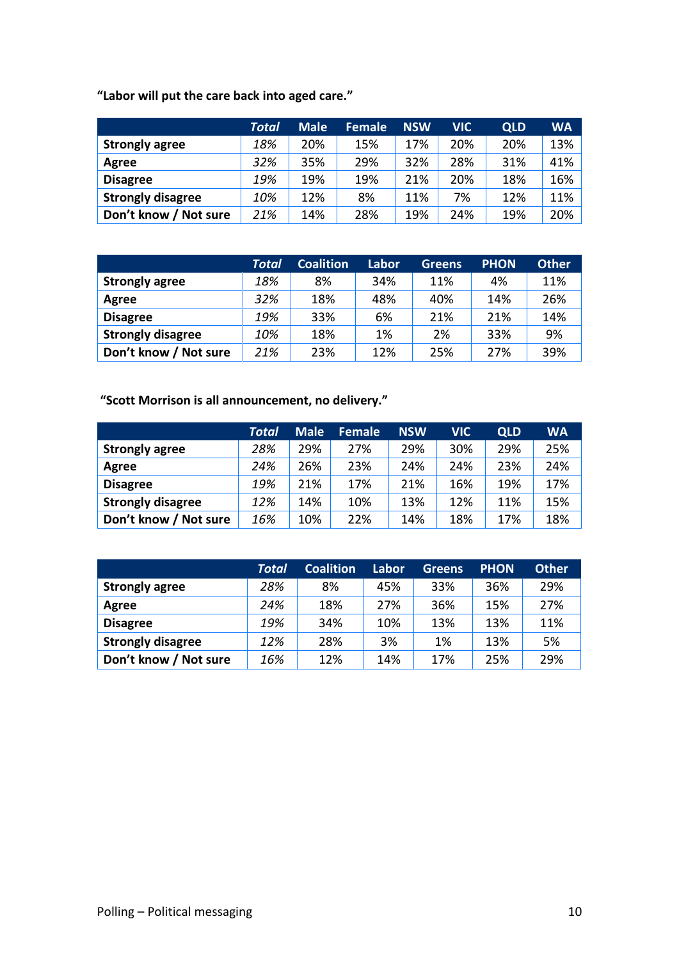**"Labor will put the care back into aged care."**

|                          | <b>Total</b> | <b>Male</b> | <b>Female</b> | <b>NSW</b> | <b>VIC</b> | <b>QLD</b> | <b>WA</b> |
|--------------------------|--------------|-------------|---------------|------------|------------|------------|-----------|
| <b>Strongly agree</b>    | 18%          | 20%         | 15%           | 17%        | 20%        | 20%        | 13%       |
| Agree                    | 32%          | 35%         | 29%           | 32%        | 28%        | 31%        | 41%       |
| <b>Disagree</b>          | 19%          | 19%         | 19%           | 21%        | 20%        | 18%        | 16%       |
| <b>Strongly disagree</b> | 10%          | 12%         | 8%            | 11%        | 7%         | 12%        | 11%       |
| Don't know / Not sure    | 21%          | 14%         | 28%           | 19%        | 24%        | 19%        | 20%       |

|                          | Total | <b>Coalition</b> | Labor | <b>Greens</b> | <b>PHON</b> | <b>Other</b> |
|--------------------------|-------|------------------|-------|---------------|-------------|--------------|
| <b>Strongly agree</b>    | 18%   | 8%               | 34%   | 11%           | 4%          | 11%          |
| Agree                    | 32%   | 18%              | 48%   | 40%           | 14%         | 26%          |
| <b>Disagree</b>          | 19%   | 33%              | 6%    | 21%           | 21%         | 14%          |
| <b>Strongly disagree</b> | 10%   | 18%              | 1%    | 2%            | 33%         | 9%           |
| Don't know / Not sure    | 21%   | 23%              | 12%   | 25%           | 27%         | 39%          |

**"Scott Morrison is all announcement, no delivery."**

|                          | Total | <b>Male</b> | <b>Female</b> | <b>NSW</b> | <b>VIC</b> | <b>QLD</b> | <b>WA</b> |
|--------------------------|-------|-------------|---------------|------------|------------|------------|-----------|
| <b>Strongly agree</b>    | 28%   | 29%         | 27%           | 29%        | 30%        | 29%        | 25%       |
| Agree                    | 24%   | 26%         | 23%           | 24%        | 24%        | 23%        | 24%       |
| <b>Disagree</b>          | 19%   | 21%         | 17%           | 21%        | 16%        | 19%        | 17%       |
| <b>Strongly disagree</b> | 12%   | 14%         | 10%           | 13%        | 12%        | 11%        | 15%       |
| Don't know / Not sure    | 16%   | 10%         | 22%           | 14%        | 18%        | 17%        | 18%       |

|                          | <b>Total</b> | <b>Coalition</b> | Labor | Greens | <b>PHON</b> | <b>Other</b> |
|--------------------------|--------------|------------------|-------|--------|-------------|--------------|
| <b>Strongly agree</b>    | 28%          | 8%               | 45%   | 33%    | 36%         | 29%          |
| Agree                    | 24%          | 18%              | 27%   | 36%    | 15%         | 27%          |
| <b>Disagree</b>          | 19%          | 34%              | 10%   | 13%    | 13%         | 11%          |
| <b>Strongly disagree</b> | 12%          | 28%              | 3%    | 1%     | 13%         | 5%           |
| Don't know / Not sure    | 16%          | 12%              | 14%   | 17%    | 25%         | 29%          |